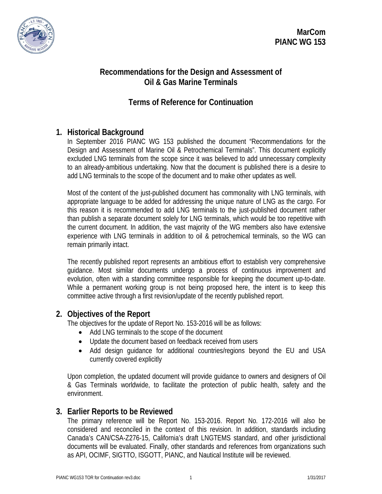

**MarCom PIANC WG 153**

## **Recommendations for the Design and Assessment of Oil & Gas Marine Terminals**

# **Terms of Reference for Continuation**

## **1. Historical Background**

In September 2016 PIANC WG 153 published the document "Recommendations for the Design and Assessment of Marine Oil & Petrochemical Terminals". This document explicitly excluded LNG terminals from the scope since it was believed to add unnecessary complexity to an already-ambitious undertaking. Now that the document is published there is a desire to add LNG terminals to the scope of the document and to make other updates as well.

Most of the content of the just-published document has commonality with LNG terminals, with appropriate language to be added for addressing the unique nature of LNG as the cargo. For this reason it is recommended to add LNG terminals to the just-published document rather than publish a separate document solely for LNG terminals, which would be too repetitive with the current document. In addition, the vast majority of the WG members also have extensive experience with LNG terminals in addition to oil & petrochemical terminals, so the WG can remain primarily intact.

The recently published report represents an ambitious effort to establish very comprehensive guidance. Most similar documents undergo a process of continuous improvement and evolution, often with a standing committee responsible for keeping the document up-to-date. While a permanent working group is not being proposed here, the intent is to keep this committee active through a first revision/update of the recently published report.

#### **2. Objectives of the Report**

The objectives for the update of Report No. 153-2016 will be as follows:

- Add LNG terminals to the scope of the document
- Update the document based on feedback received from users
- Add design guidance for additional countries/regions beyond the EU and USA currently covered explicitly

Upon completion, the updated document will provide guidance to owners and designers of Oil & Gas Terminals worldwide, to facilitate the protection of public health, safety and the environment.

#### **3. Earlier Reports to be Reviewed**

The primary reference will be Report No. 153-2016. Report No. 172-2016 will also be considered and reconciled in the context of this revision. In addition, standards including Canada's CAN/CSA-Z276-15, California's draft LNGTEMS standard, and other jurisdictional documents will be evaluated. Finally, other standards and references from organizations such as API, OCIMF, SIGTTO, ISGOTT, PIANC, and Nautical Institute will be reviewed.